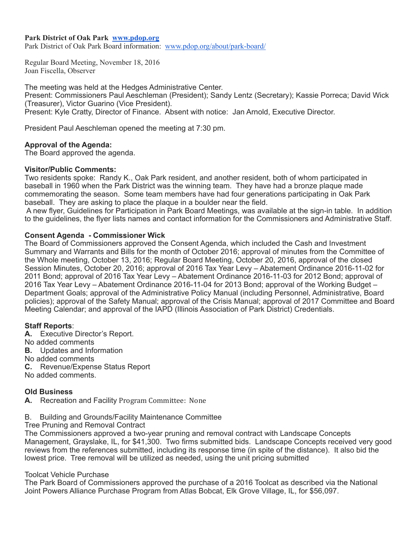### **Park District of Oak Park [www.pdop.org](http://www.pdop.org/)**

Park District of Oak Park Board information: [www.pdop.org/about/park-board/](http://www.pdop.org/about/park-board/)

Regular Board Meeting, November 18, 2016 Joan Fiscella, Observer

The meeting was held at the Hedges Administrative Center. Present: Commissioners Paul Aeschleman (President); Sandy Lentz (Secretary); Kassie Porreca; David Wick (Treasurer), Victor Guarino (Vice President). Present: Kyle Cratty, Director of Finance. Absent with notice: Jan Arnold, Executive Director.

President Paul Aeschleman opened the meeting at 7:30 pm.

### **Approval of the Agenda:**

The Board approved the agenda.

#### **Visitor/Public Comments:**

Two residents spoke: Randy K., Oak Park resident, and another resident, both of whom participated in baseball in 1960 when the Park District was the winning team. They have had a bronze plaque made commemorating the season. Some team members have had four generations participating in Oak Park baseball. They are asking to place the plaque in a boulder near the field.

 A new flyer, Guidelines for Participation in Park Board Meetings, was available at the sign-in table. In addition to the guidelines, the flyer lists names and contact information for the Commissioners and Administrative Staff.

### **Consent Agenda - Commissioner Wick**

The Board of Commissioners approved the Consent Agenda, which included the Cash and Investment Summary and Warrants and Bills for the month of October 2016; approval of minutes from the Committee of the Whole meeting, October 13, 2016; Regular Board Meeting, October 20, 2016, approval of the closed Session Minutes, October 20, 2016; approval of 2016 Tax Year Levy – Abatement Ordinance 2016-11-02 for 2011 Bond; approval of 2016 Tax Year Levy – Abatement Ordinance 2016-11-03 for 2012 Bond; approval of 2016 Tax Year Levy – Abatement Ordinance 2016-11-04 for 2013 Bond; approval of the Working Budget – Department Goals; approval of the Administrative Policy Manual (including Personnel, Administrative, Board policies); approval of the Safety Manual; approval of the Crisis Manual; approval of 2017 Committee and Board Meeting Calendar; and approval of the IAPD (Illinois Association of Park District) Credentials.

### **Staff Reports**:

**A.** Executive Director's Report. No added comments **B.** Updates and Information No added comments **C.** Revenue/Expense Status Report No added comments.

## **Old Business**

A. Recreation and Facility Program Committee: None

### B. Building and Grounds/Facility Maintenance Committee

Tree Pruning and Removal Contract

The Commissioners approved a two-year pruning and removal contract with Landscape Concepts Management, Grayslake, IL, for \$41,300. Two firms submitted bids. Landscape Concepts received very good reviews from the references submitted, including its response time (in spite of the distance). It also bid the lowest price. Tree removal will be utilized as needed, using the unit pricing submitted

#### Toolcat Vehicle Purchase

The Park Board of Commissioners approved the purchase of a 2016 Toolcat as described via the National Joint Powers Alliance Purchase Program from Atlas Bobcat, Elk Grove Village, IL, for \$56,097.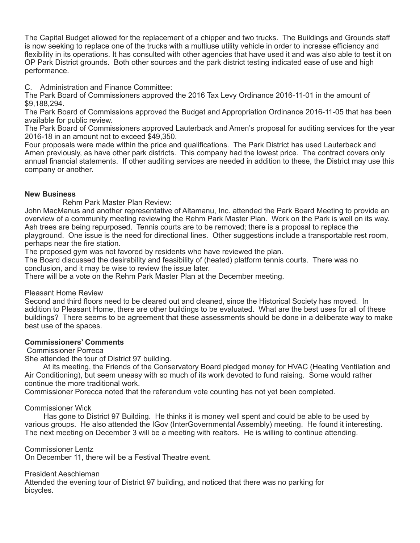The Capital Budget allowed for the replacement of a chipper and two trucks. The Buildings and Grounds staff is now seeking to replace one of the trucks with a multiuse utility vehicle in order to increase efficiency and flexibility in its operations. It has consulted with other agencies that have used it and was also able to test it on OP Park District grounds. Both other sources and the park district testing indicated ease of use and high performance.

C. Administration and Finance Committee:

The Park Board of Commissioners approved the 2016 Tax Levy Ordinance 2016-11-01 in the amount of \$9,188,294.

The Park Board of Commissions approved the Budget and Appropriation Ordinance 2016-11-05 that has been available for public review.

The Park Board of Commissioners approved Lauterback and Amen's proposal for auditing services for the year 2016-18 in an amount not to exceed \$49,350.

Four proposals were made within the price and qualifications. The Park District has used Lauterback and Amen previously, as have other park districts. This company had the lowest price. The contract covers only annual financial statements. If other auditing services are needed in addition to these, the District may use this company or another.

## **New Business**

Rehm Park Master Plan Review:

John MacManus and another representative of Altamanu, Inc. attended the Park Board Meeting to provide an overview of a community meeting reviewing the Rehm Park Master Plan. Work on the Park is well on its way. Ash trees are being repurposed. Tennis courts are to be removed; there is a proposal to replace the playground. One issue is the need for directional lines. Other suggestions include a transportable rest room, perhaps near the fire station.

The proposed gym was not favored by residents who have reviewed the plan.

The Board discussed the desirability and feasibility of (heated) platform tennis courts. There was no conclusion, and it may be wise to review the issue later.

There will be a vote on the Rehm Park Master Plan at the December meeting.

Pleasant Home Review

Second and third floors need to be cleared out and cleaned, since the Historical Society has moved. In addition to Pleasant Home, there are other buildings to be evaluated. What are the best uses for all of these buildings? There seems to be agreement that these assessments should be done in a deliberate way to make best use of the spaces.

# **Commissioners' Comments**

Commissioner Porreca

She attended the tour of District 97 building.

 At its meeting, the Friends of the Conservatory Board pledged money for HVAC (Heating Ventilation and Air Conditioning), but seem uneasy with so much of its work devoted to fund raising. Some would rather continue the more traditional work.

Commissioner Porecca noted that the referendum vote counting has not yet been completed.

### Commissioner Wick

 Has gone to District 97 Building. He thinks it is money well spent and could be able to be used by various groups. He also attended the IGov (InterGovernmental Assembly) meeting. He found it interesting. The next meeting on December 3 will be a meeting with realtors. He is willing to continue attending.

Commissioner Lentz

On December 11, there will be a Festival Theatre event.

President Aeschleman

Attended the evening tour of District 97 building, and noticed that there was no parking for bicycles.